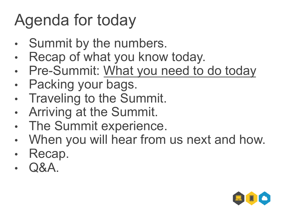# Agenda for today

- Summit by the numbers.
- Recap of what you know today.
- Pre-Summit: What you need to do today
- Packing your bags.
- **Traveling to the Summit.**
- Arriving at the Summit.
- The Summit experience.
- When you will hear from us next and how.
- Recap.
- Q&A.

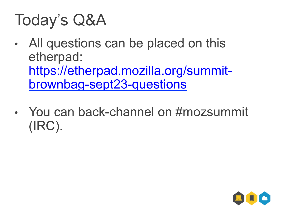## Today's Q&A

- All questions can be placed on this etherpad: https://etherpad.mozilla.org/summitbrownbag-sept23-questions
- You can back-channel on #mozsummit (IRC).

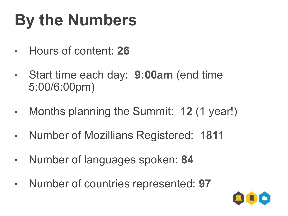# **By the Numbers**

- Hours of content: **26**
- Start time each day: **9:00am** (end time 5:00/6:00pm)
- Months planning the Summit: **12** (1 year!)
- Number of Mozillians Registered: **1811**
- Number of languages spoken: **84**
- Number of countries represented: **97**

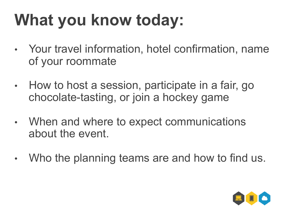# **What you know today:**

- Your travel information, hotel confirmation, name of your roommate
- How to host a session, participate in a fair, go chocolate-tasting, or join a hockey game
- When and where to expect communications about the event.
- Who the planning teams are and how to find us.

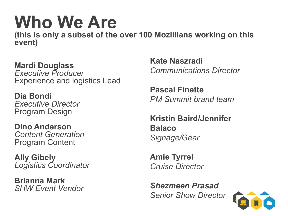# **Who We Are**

**(this is only a subset of the over 100 Mozillians working on this event)** 

**Mardi Douglass**  *Executive Producer*  Experience and logistics Lead

**Dia Bondi** *Executive Director*  Program Design

**Dino Anderson**  *Content Generation*  Program Content

**Ally Gibely** *Logistics Coordinator* 

**Brianna Mark**  *SHW Event Vendor*  **Kate Naszradi**  *Communications Director* 

**Pascal Finette** *PM Summit brand team* 

**Kristin Baird/Jennifer Balaco** *Signage/Gear* 

**Amie Tyrrel** *Cruise Director* 

*Shezmeen Prasad Senior Show Director* 

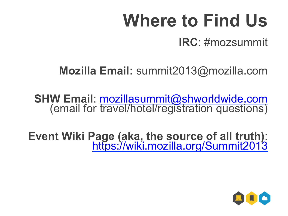# **Where to Find Us**

**IRC**: #mozsummit

**Mozilla Email:** summit2013@mozilla.com

**SHW Email**: mozillasummit@shworldwide.com (email for travel/hotel/registration questions)

**Event Wiki Page (aka, the source of all truth)**: https://wiki.mozilla.org/Summit2013

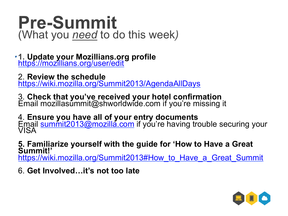#### **Pre-Summit**  (What you *need* to do this week*)*

**1. Update your Mozillians.org profile** https://mozillians.org/user/edit *.* 

2. **Review the schedule** https://wiki.mozilla.org/Summit2013/AgendaAllDays

3. **Check that you've received your hotel confirmation** Email mozillasummit@shworldwide.com if you're missing it

4. **Ensure you have all of your entry documents**<br>
Email **summit2013@mozilla.com** if you're having trouble securing your<br>VISA

**5. Familiarize yourself with the guide for 'How to Have a Great Summit!'** https://wiki.mozilla.org/Summit2013#How\_to\_Have\_a\_Great\_Summit

6. **Get Involved…it's not too late** 

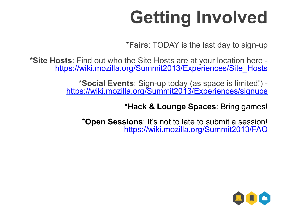# **Getting Involved**

\***Fairs**: TODAY is the last day to sign-up

\***Site Hosts**: Find out who the Site Hosts are at your location here https://wiki.mozilla.org/Summit2013/Experiences/Site\_Hosts

> \***Social Events**: Sign-up today (as space is limited!) https://wiki.mozilla.org/Summit2013/Experiences/signups

> > \***Hack & Lounge Spaces**: Bring games!

\***Open Sessions**: It's not to late to submit a session! https://wiki.mozilla.org/Summit2013/FAQ

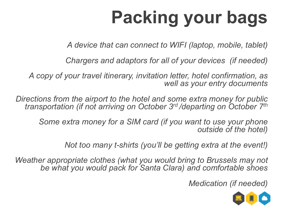# **Packing your bags**

*A device that can connect to WIFI (laptop, mobile, tablet)* 

*Chargers and adaptors for all of your devices (if needed)* 

*A copy of your travel itinerary, invitation letter, hotel confirmation, as well as your entry documents* 

*Directions from the airport to the hotel and some extra money for public transportation (if not arriving on October 3rd /departing on October 7th*

*Some extra money for a SIM card (if you want to use your phone outside of the hotel)* 

*Not too many t-shirts (you'll be getting extra at the event!)* 

*Weather appropriate clothes (what you would bring to Brussels may not be what you would pack for Santa Clara) and comfortable shoes* 

*Medication (if needed)* 

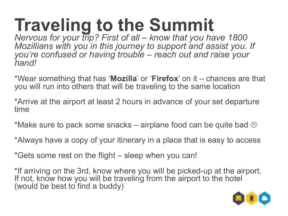# **Traveling to the Summit**

*Nervous for your trip? First of all – know that you have 1800 Mozillians with you in this journey to support and assist you. If you're confused or having trouble – reach out and raise your hand!* 

\*Wear something that has '**Mozilla**' or '**Firefox**' on it – chances are that you will run into others that will be traveling to the same location

\*Arrive at the airport at least 2 hours in advance of your set departure time

\*Make sure to pack some snacks – airplane food can be quite bad  $\odot$ 

\*Always have a copy of your itinerary in a place that is easy to access

\*Gets some rest on the flight – sleep when you can!

\*If arriving on the 3rd, know where you will be picked-up at the airport. If not, know how you will be traveling from the airport to the hotel (would be best to find a buddy)

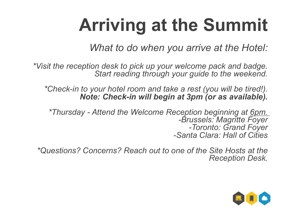# **Arriving at the Summit**

*What to do when you arrive at the Hotel:* 

*\*Visit the reception desk to pick up your welcome pack and badge. Start reading through your guide to the weekend.* 

*\*Check-in to your hotel room and take a rest (you will be tired!). Note: Check-in will begin at 3pm (or as available).* 

*\*Thursday - Attend the Welcome Reception beginning at 6pm. -Brussels: Magritte Foyer -Toronto: Grand Foyer -Santa Clara: Hall of Cities* 

*\*Questions? Concerns? Reach out to one of the Site Hosts at the Reception Desk.*

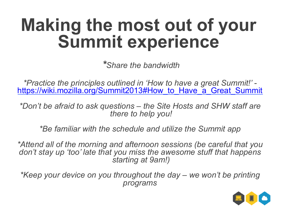### **Making the most out of your Summit experience**

*\*Share the bandwidth* 

*\*Practice the principles outlined in 'How to have a great Summit!'*  https://wiki.mozilla.org/Summit2013#How to Have a Great Summit

*\*Don't be afraid to ask questions – the Site Hosts and SHW staff are there to help you!* 

*\*Be familiar with the schedule and utilize the Summit app* 

*\*Attend all of the morning and afternoon sessions (be careful that you don't stay up 'too' late that you miss the awesome stuff that happens starting at 9am!)* 

*\*Keep your device on you throughout the day – we won't be printing programs* 

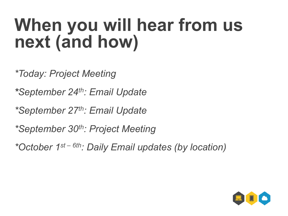### **When you will hear from us next (and how)**

*\*Today: Project Meeting* 

*\*September 24th: Email Update* 

*\*September 27th: Email Update* 

*\*September 30th: Project Meeting* 

*\*October 1st – 6th: Daily Email updates (by location)* 

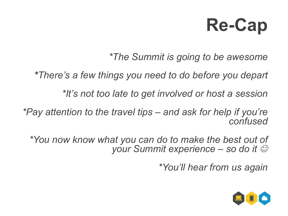# **Re-Cap**

*\*The Summit is going to be awesome* 

*\*There's a few things you need to do before you depart* 

*\*It's not too late to get involved or host a session* 

*\*Pay attention to the travel tips – and ask for help if you're confused* 

*\*You now know what you can do to make the best out of your Summit experience – so do it*  $\odot$ 

*\*You'll hear from us again*